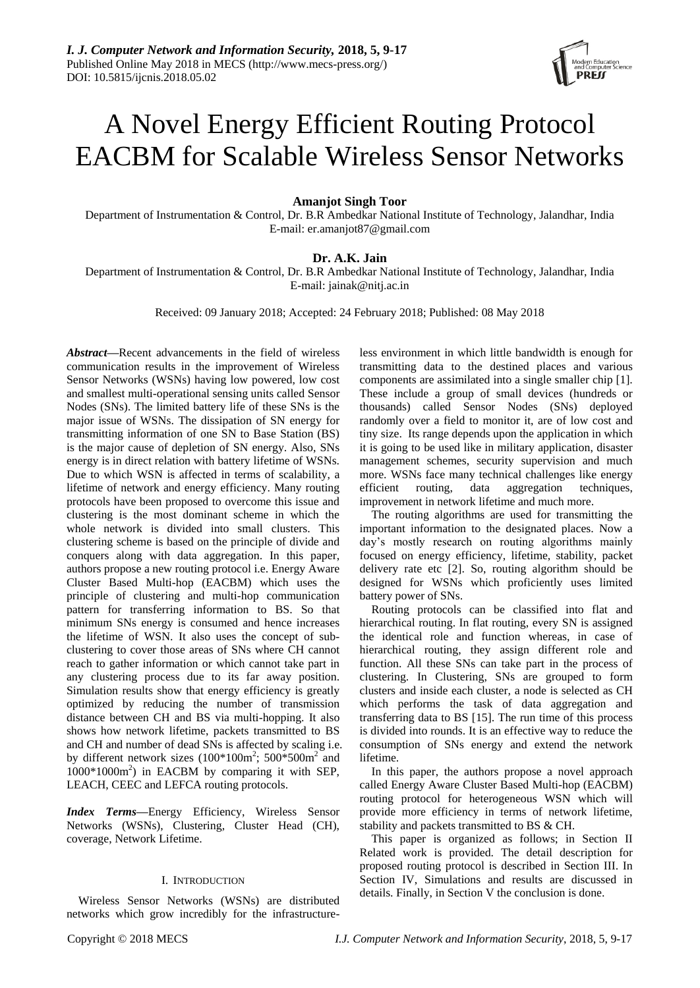

# A Novel Energy Efficient Routing Protocol EACBM for Scalable Wireless Sensor Networks

**Amanjot Singh Toor**

Department of Instrumentation & Control, Dr. B.R Ambedkar National Institute of Technology, Jalandhar, India E-mail: er.amanjot87@gmail.com

# **Dr. A.K. Jain**

Department of Instrumentation & Control, Dr. B.R Ambedkar National Institute of Technology, Jalandhar, India E-mail: jainak@nitj.ac.in

Received: 09 January 2018; Accepted: 24 February 2018; Published: 08 May 2018

*Abstract***—**Recent advancements in the field of wireless communication results in the improvement of Wireless Sensor Networks (WSNs) having low powered, low cost and smallest multi-operational sensing units called Sensor Nodes (SNs). The limited battery life of these SNs is the major issue of WSNs. The dissipation of SN energy for transmitting information of one SN to Base Station (BS) is the major cause of depletion of SN energy. Also, SNs energy is in direct relation with battery lifetime of WSNs. Due to which WSN is affected in terms of scalability, a lifetime of network and energy efficiency. Many routing protocols have been proposed to overcome this issue and clustering is the most dominant scheme in which the whole network is divided into small clusters. This clustering scheme is based on the principle of divide and conquers along with data aggregation. In this paper, authors propose a new routing protocol i.e. Energy Aware Cluster Based Multi-hop (EACBM) which uses the principle of clustering and multi-hop communication pattern for transferring information to BS. So that minimum SNs energy is consumed and hence increases the lifetime of WSN. It also uses the concept of subclustering to cover those areas of SNs where CH cannot reach to gather information or which cannot take part in any clustering process due to its far away position. Simulation results show that energy efficiency is greatly optimized by reducing the number of transmission distance between CH and BS via multi-hopping. It also shows how network lifetime, packets transmitted to BS and CH and number of dead SNs is affected by scaling i.e. by different network sizes  $(100*100m^2; 500*500m^2$  and 1000\*1000m<sup>2</sup> ) in EACBM by comparing it with SEP, LEACH, CEEC and LEFCA routing protocols.

*Index Terms***—**Energy Efficiency, Wireless Sensor Networks (WSNs), Clustering, Cluster Head (CH), coverage, Network Lifetime.

# I. INTRODUCTION

Wireless Sensor Networks (WSNs) are distributed networks which grow incredibly for the infrastructureless environment in which little bandwidth is enough for transmitting data to the destined places and various components are assimilated into a single smaller chip [1]. These include a group of small devices (hundreds or thousands) called Sensor Nodes (SNs) deployed randomly over a field to monitor it, are of low cost and tiny size. Its range depends upon the application in which it is going to be used like in military application, disaster management schemes, security supervision and much more. WSNs face many technical challenges like energy efficient routing, data aggregation techniques, improvement in network lifetime and much more.

The routing algorithms are used for transmitting the important information to the designated places. Now a day's mostly research on routing algorithms mainly focused on energy efficiency, lifetime, stability, packet delivery rate etc [2]. So, routing algorithm should be designed for WSNs which proficiently uses limited battery power of SNs.

Routing protocols can be classified into flat and hierarchical routing. In flat routing, every SN is assigned the identical role and function whereas, in case of hierarchical routing, they assign different role and function. All these SNs can take part in the process of clustering. In Clustering, SNs are grouped to form clusters and inside each cluster, a node is selected as CH which performs the task of data aggregation and transferring data to BS [15]. The run time of this process is divided into rounds. It is an effective way to reduce the consumption of SNs energy and extend the network lifetime.

In this paper, the authors propose a novel approach called Energy Aware Cluster Based Multi-hop (EACBM) routing protocol for heterogeneous WSN which will provide more efficiency in terms of network lifetime, stability and packets transmitted to BS & CH.

This paper is organized as follows; in Section II Related work is provided. The detail description for proposed routing protocol is described in Section III. In Section IV, Simulations and results are discussed in details. Finally, in Section V the conclusion is done.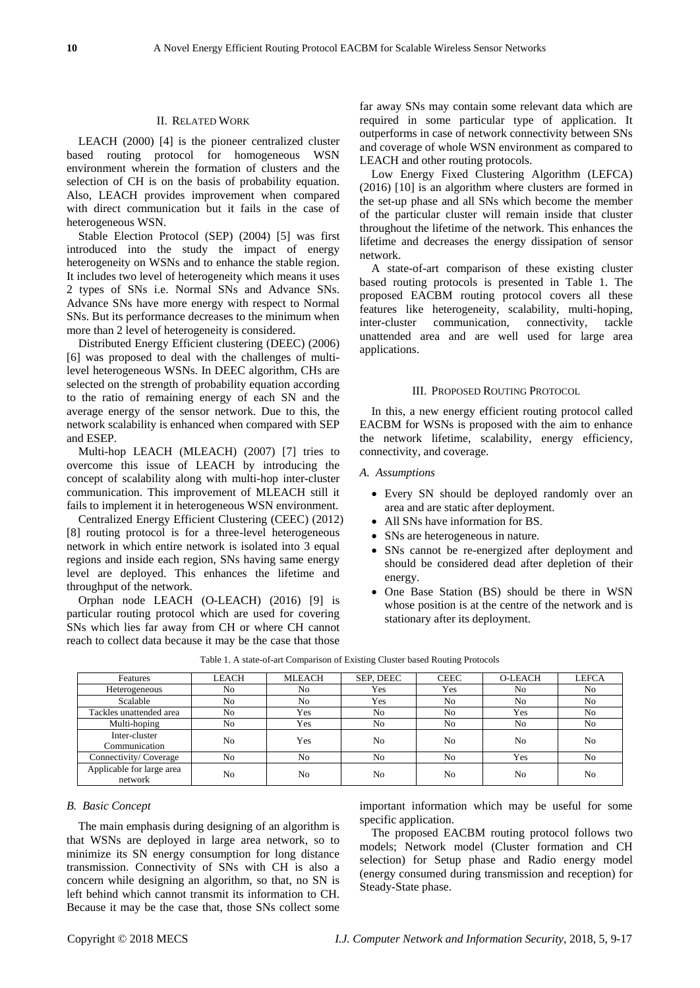# II. RELATED WORK

LEACH (2000) [4] is the pioneer centralized cluster based routing protocol for homogeneous WSN environment wherein the formation of clusters and the selection of CH is on the basis of probability equation. Also, LEACH provides improvement when compared with direct communication but it fails in the case of heterogeneous WSN.

Stable Election Protocol (SEP) (2004) [5] was first introduced into the study the impact of energy heterogeneity on WSNs and to enhance the stable region. It includes two level of heterogeneity which means it uses 2 types of SNs i.e. Normal SNs and Advance SNs. Advance SNs have more energy with respect to Normal SNs. But its performance decreases to the minimum when more than 2 level of heterogeneity is considered.

Distributed Energy Efficient clustering (DEEC) (2006) [6] was proposed to deal with the challenges of multilevel heterogeneous WSNs. In DEEC algorithm, CHs are selected on the strength of probability equation according to the ratio of remaining energy of each SN and the average energy of the sensor network. Due to this, the network scalability is enhanced when compared with SEP and ESEP.

Multi-hop LEACH (MLEACH) (2007) [7] tries to overcome this issue of LEACH by introducing the concept of scalability along with multi-hop inter-cluster communication. This improvement of MLEACH still it fails to implement it in heterogeneous WSN environment.

Centralized Energy Efficient Clustering (CEEC) (2012) [8] routing protocol is for a three-level heterogeneous network in which entire network is isolated into 3 equal regions and inside each region, SNs having same energy level are deployed. This enhances the lifetime and throughput of the network.

Orphan node LEACH (O-LEACH) (2016) [9] is particular routing protocol which are used for covering SNs which lies far away from CH or where CH cannot reach to collect data because it may be the case that those

far away SNs may contain some relevant data which are required in some particular type of application. It outperforms in case of network connectivity between SNs and coverage of whole WSN environment as compared to LEACH and other routing protocols.

Low Energy Fixed Clustering Algorithm (LEFCA) (2016) [10] is an algorithm where clusters are formed in the set-up phase and all SNs which become the member of the particular cluster will remain inside that cluster throughout the lifetime of the network. This enhances the lifetime and decreases the energy dissipation of sensor network.

A state-of-art comparison of these existing cluster based routing protocols is presented in Table 1. The proposed EACBM routing protocol covers all these features like heterogeneity, scalability, multi-hoping, inter-cluster communication, connectivity, tackle unattended area and are well used for large area applications.

## III. PROPOSED ROUTING PROTOCOL

In this, a new energy efficient routing protocol called EACBM for WSNs is proposed with the aim to enhance the network lifetime, scalability, energy efficiency, connectivity, and coverage.

## *A. Assumptions*

- Every SN should be deployed randomly over an area and are static after deployment.
- All SNs have information for BS.
- SNs are heterogeneous in nature.
- SNs cannot be re-energized after deployment and should be considered dead after depletion of their energy.
- One Base Station (BS) should be there in WSN whose position is at the centre of the network and is stationary after its deployment.

| Features                             | <b>LEACH</b>   | <b>MLEACH</b> | SEP, DEEC | <b>CEEC</b> | <b>O-LEACH</b> | <b>LEFCA</b>   |
|--------------------------------------|----------------|---------------|-----------|-------------|----------------|----------------|
| Heterogeneous                        | N <sub>0</sub> | No            | Yes       | Yes         | N <sub>0</sub> | No             |
| Scalable                             | N <sub>0</sub> | No            | Yes       | No          | No             | No             |
| Tackles unattended area              | N <sub>0</sub> | Yes           | No        | No          | Yes            | No             |
| Multi-hoping                         | N <sub>0</sub> | Yes           | No        | No          | N <sub>0</sub> | No             |
| Inter-cluster<br>Communication       | N <sub>0</sub> | Yes           | No        | No          | N <sub>0</sub> | No             |
| Connectivity/Coverage                | N <sub>0</sub> | No            | No        | No          | Yes            | No             |
| Applicable for large area<br>network | N <sub>0</sub> | No            | No        | No          | N <sub>0</sub> | N <sub>0</sub> |

Table 1. A state-of-art Comparison of Existing Cluster based Routing Protocols

# *B. Basic Concept*

The main emphasis during designing of an algorithm is that WSNs are deployed in large area network, so to minimize its SN energy consumption for long distance transmission. Connectivity of SNs with CH is also a concern while designing an algorithm, so that, no SN is left behind which cannot transmit its information to CH. Because it may be the case that, those SNs collect some important information which may be useful for some specific application.

The proposed EACBM routing protocol follows two models; Network model (Cluster formation and CH selection) for Setup phase and Radio energy model (energy consumed during transmission and reception) for Steady-State phase.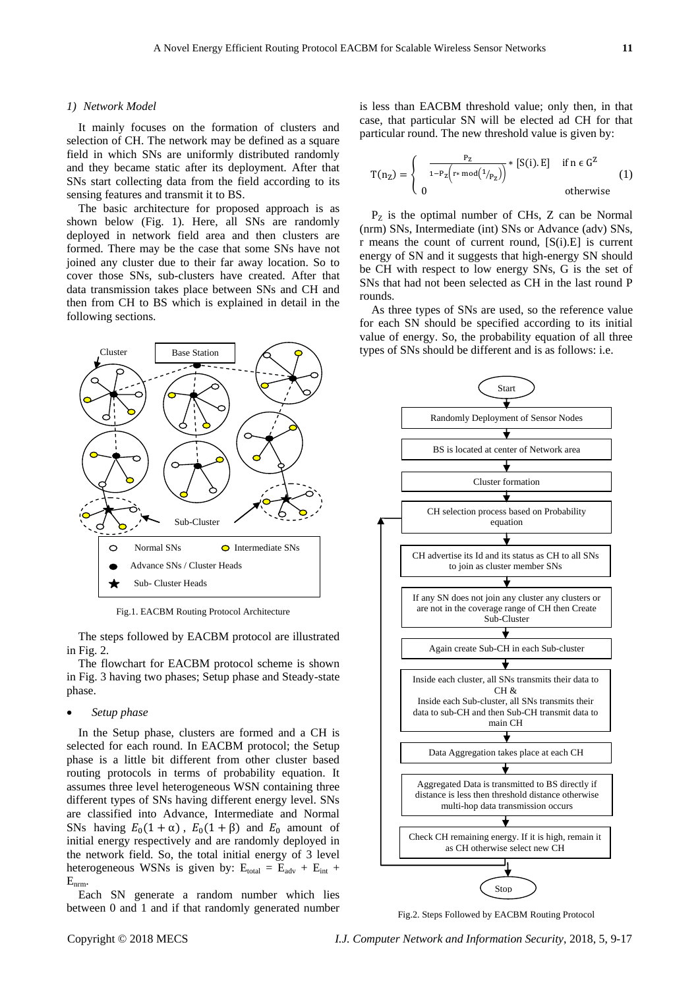## *1) Network Model*

It mainly focuses on the formation of clusters and selection of CH. The network may be defined as a square field in which SNs are uniformly distributed randomly and they became static after its deployment. After that SNs start collecting data from the field according to its sensing features and transmit it to BS.

The basic architecture for proposed approach is as shown below (Fig. 1). Here, all SNs are randomly deployed in network field area and then clusters are formed. There may be the case that some SNs have not joined any cluster due to their far away location. So to cover those SNs, sub-clusters have created. After that data transmission takes place between SNs and CH and then from CH to BS which is explained in detail in the following sections.



Fig.1. EACBM Routing Protocol Architecture

The steps followed by EACBM protocol are illustrated in Fig. 2.

The flowchart for EACBM protocol scheme is shown in Fig. 3 having two phases; Setup phase and Steady-state phase.

# *Setup phase*

In the Setup phase, clusters are formed and a CH is selected for each round. In EACBM protocol; the Setup phase is a little bit different from other cluster based routing protocols in terms of probability equation. It assumes three level heterogeneous WSN containing three different types of SNs having different energy level. SNs are classified into Advance, Intermediate and Normal SNs having  $E_0(1 + \alpha)$ ,  $E_0(1 + \beta)$  and  $E_0$  amount of initial energy respectively and are randomly deployed in the network field. So, the total initial energy of 3 level heterogeneous WSNs is given by:  $E_{total} = E_{adv} + E_{int}$  + Enrm.

Each SN generate a random number which lies between 0 and 1 and if that randomly generated number is less than EACBM threshold value; only then, in that case, that particular SN will be elected ad CH for that particular round. The new threshold value is given by:

$$
T(n_Z) = \begin{cases} \frac{P_Z}{1 - P_Z(r * mod(1/p_Z))} * [S(i).E] & \text{if } n \in G^Z\\ 0 & \text{otherwise} \end{cases}
$$
(1)

 $P<sub>Z</sub>$  is the optimal number of CHs, Z can be Normal (nrm) SNs, Intermediate (int) SNs or Advance (adv) SNs, r means the count of current round, [S(i).E] is current energy of SN and it suggests that high-energy SN should be CH with respect to low energy SNs, G is the set of SNs that had not been selected as CH in the last round P rounds.

As three types of SNs are used, so the reference value for each SN should be specified according to its initial value of energy. So, the probability equation of all three types of SNs should be different and is as follows: i.e.



Fig.2. Steps Followed by EACBM Routing Protocol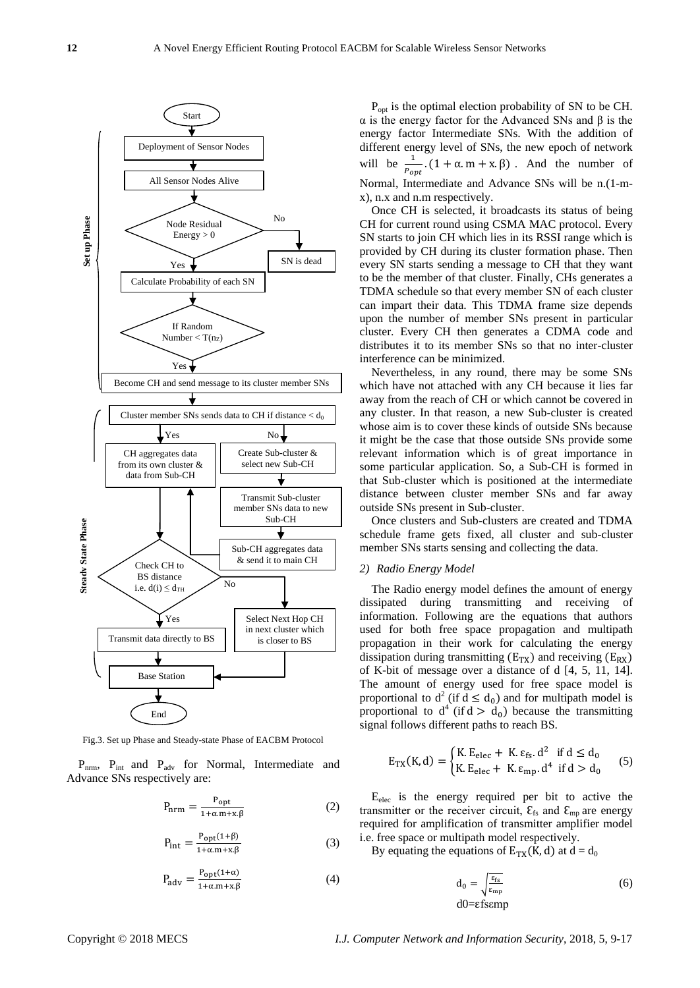

Fig.3. Set up Phase and Steady-state Phase of EACBM Protocol

P<sub>nrm</sub>, P<sub>int</sub> and P<sub>adv</sub> for Normal, Intermediate and Advance SNs respectively are:

$$
P_{nrm} = \frac{P_{\rm opt}}{1 + \alpha.m + x.\beta} \tag{2}
$$

$$
P_{int} = \frac{P_{opt}(1+\beta)}{1+\alpha.m+x,\beta}
$$
 (3)

$$
P_{\text{adv}} = \frac{P_{\text{opt}}(1+\alpha)}{1+\alpha \cdot m + x \cdot \beta} \tag{4}
$$

P<sub>opt</sub> is the optimal election probability of SN to be CH. α is the energy factor for the Advanced SNs and β is the energy factor Intermediate SNs. With the addition of different energy level of SNs, the new epoch of network will be  $\frac{1}{P_{opt}}$ .  $(1 + \alpha.m + x.\beta)$ . And the number of Normal, Intermediate and Advance SNs will be n.(1-mx), n.x and n.m respectively.

Once CH is selected, it broadcasts its status of being CH for current round using CSMA MAC protocol. Every SN starts to join CH which lies in its RSSI range which is provided by CH during its cluster formation phase. Then every SN starts sending a message to CH that they want to be the member of that cluster. Finally, CHs generates a TDMA schedule so that every member SN of each cluster can impart their data. This TDMA frame size depends upon the number of member SNs present in particular cluster. Every CH then generates a CDMA code and distributes it to its member SNs so that no inter-cluster interference can be minimized.

Nevertheless, in any round, there may be some SNs which have not attached with any CH because it lies far away from the reach of CH or which cannot be covered in any cluster. In that reason, a new Sub-cluster is created whose aim is to cover these kinds of outside SNs because it might be the case that those outside SNs provide some relevant information which is of great importance in some particular application. So, a Sub-CH is formed in that Sub-cluster which is positioned at the intermediate distance between cluster member SNs and far away outside SNs present in Sub-cluster.

Once clusters and Sub-clusters are created and TDMA schedule frame gets fixed, all cluster and sub-cluster member SNs starts sensing and collecting the data.

## *2) Radio Energy Model*

The Radio energy model defines the amount of energy dissipated during transmitting and receiving of information. Following are the equations that authors used for both free space propagation and multipath propagation in their work for calculating the energy dissipation during transmitting  $(E_{TX})$  and receiving  $(E_{RX})$ of K-bit of message over a distance of d [4, 5, 11, 14]. The amount of energy used for free space model is proportional to  $d^2$  (if  $d \le d_0$ ) and for multipath model is proportional to  $d^4$  (if  $d > d_0$ ) because the transmitting signal follows different paths to reach BS.

$$
E_{TX}(K,d) = \begin{cases} K.E_{elec} + K.E_{fs}.d^2 & \text{if } d \le d_0\\ K.E_{elec} + K.E_{mp}.d^4 & \text{if } d > d_0 \end{cases}
$$
 (5)

Eelec is the energy required per bit to active the transmitter or the receiver circuit,  $\mathcal{E}_{fs}$  and  $\mathcal{E}_{mp}$  are energy required for amplification of transmitter amplifier model i.e. free space or multipath model respectively.

By equating the equations of  $E_{TX}(K, d)$  at  $d = d_0$ 

$$
d_0 = \sqrt{\frac{\varepsilon_{\text{fs}}}{\varepsilon_{\text{mp}}}}
$$
 (6)  
 
$$
d0 = \varepsilon f \text{semp}
$$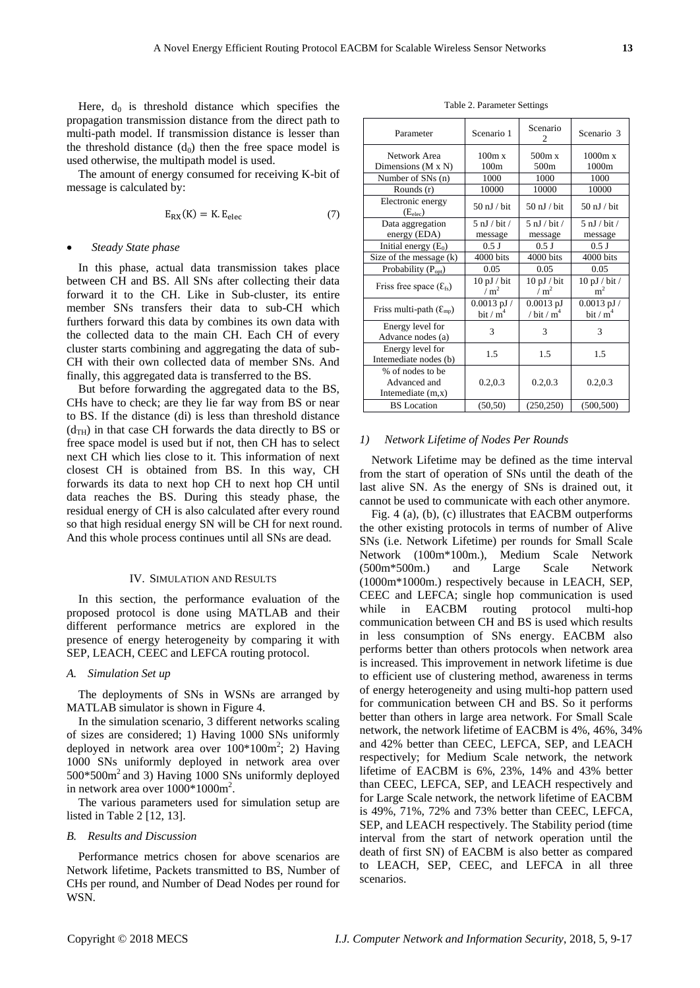Here,  $d_0$  is threshold distance which specifies the propagation transmission distance from the direct path to multi-path model. If transmission distance is lesser than the threshold distance  $(d_0)$  then the free space model is used otherwise, the multipath model is used.

The amount of energy consumed for receiving K-bit of message is calculated by:

$$
E_{RX}(K) = K.E_{elec}
$$
 (7)

#### *Steady State phase*

In this phase, actual data transmission takes place between CH and BS. All SNs after collecting their data forward it to the CH. Like in Sub-cluster, its entire member SNs transfers their data to sub-CH which furthers forward this data by combines its own data with the collected data to the main CH. Each CH of every cluster starts combining and aggregating the data of sub-CH with their own collected data of member SNs. And finally, this aggregated data is transferred to the BS.

But before forwarding the aggregated data to the BS, CHs have to check; are they lie far way from BS or near to BS. If the distance (di) is less than threshold distance  $(d<sub>TH</sub>)$  in that case CH forwards the data directly to BS or free space model is used but if not, then CH has to select next CH which lies close to it. This information of next closest CH is obtained from BS. In this way, CH forwards its data to next hop CH to next hop CH until data reaches the BS. During this steady phase, the residual energy of CH is also calculated after every round so that high residual energy SN will be CH for next round. And this whole process continues until all SNs are dead.

#### IV. SIMULATION AND RESULTS

In this section, the performance evaluation of the proposed protocol is done using MATLAB and their different performance metrics are explored in the presence of energy heterogeneity by comparing it with SEP, LEACH, CEEC and LEFCA routing protocol.

# *A. Simulation Set up*

The deployments of SNs in WSNs are arranged by MATLAB simulator is shown in Figure 4.

In the simulation scenario, 3 different networks scaling of sizes are considered; 1) Having 1000 SNs uniformly deployed in network area over  $100*100m^2$ ; 2) Having 1000 SNs uniformly deployed in network area over 500\*500m<sup>2</sup> and 3) Having 1000 SNs uniformly deployed in network area over  $1000*1000m^2$ .

The various parameters used for simulation setup are listed in Table 2 [12, 13].

## *B. Results and Discussion*

Performance metrics chosen for above scenarios are Network lifetime, Packets transmitted to BS, Number of CHs per round, and Number of Dead Nodes per round for WSN.

Table 2. Parameter Settings

| Parameter                                                | Scenario 1                         | Scenario<br>2                      | Scenario 3                                |  |
|----------------------------------------------------------|------------------------------------|------------------------------------|-------------------------------------------|--|
| Network Area<br>Dimensions $(M \times N)$                | 100m x<br>100 <sub>m</sub>         | 500m x<br>500 <sub>m</sub>         | 1000m x<br>1000m                          |  |
| Number of SNs (n)                                        | 1000                               | 1000                               | 1000                                      |  |
| Rounds (r)                                               | 10000                              | 10000                              | 10000                                     |  |
| Electronic energy<br>(E <sub>elec</sub> )                | $50$ nJ / bit                      | $50$ nJ / bit                      | $50$ nJ / bit                             |  |
| Data aggregation                                         | $5 \mathrm{nJ} / \mathrm{bit} /$   | $5 \text{ nJ}$ / bit /             | $5 \mathrm{nJ} / \mathrm{bit} /$          |  |
| energy (EDA)                                             | message                            | message                            | message                                   |  |
| Initial energy $(E_0)$                                   | $0.5$ J                            | $0.5$ J                            | $0.5$ J                                   |  |
| Size of the message (k)                                  | 4000 bits                          | 4000 bits                          | 4000 bits                                 |  |
| Probability (P <sub>opt</sub> )                          | 0.05                               | 0.05                               | 0.05                                      |  |
| Friss free space $(\mathcal{E}_{fs})$                    | $10$ pJ $/$ bit<br>/m <sup>2</sup> | $10$ pJ $/$ bit<br>/m <sup>2</sup> | $10 \text{ pJ}$ / bit /<br>m <sup>2</sup> |  |
| Friss multi-path $(\mathcal{E}_{mp})$                    | $0.0013$ pJ $/$<br>bit / $m4$      | $0.0013$ pJ<br>/ bit / $m4$        | $0.0013$ pJ $/$<br>bit / $m4$             |  |
| Energy level for<br>Advance nodes (a)                    | 3                                  | 3                                  | 3                                         |  |
| Energy level for<br>Internediate nodes (b)               | 1.5                                | 1.5                                | 1.5                                       |  |
| % of nodes to be<br>Advanced and<br>Internediate $(m,x)$ | 0.2, 0.3                           | 0.2, 0.3                           | 0.2, 0.3                                  |  |
| <b>BS</b> Location                                       | (50, 50)                           | (250, 250)                         | (500, 500)                                |  |

#### *1) Network Lifetime of Nodes Per Rounds*

Network Lifetime may be defined as the time interval from the start of operation of SNs until the death of the last alive SN. As the energy of SNs is drained out, it cannot be used to communicate with each other anymore.

Fig. 4 (a), (b), (c) illustrates that EACBM outperforms the other existing protocols in terms of number of Alive SNs (i.e. Network Lifetime) per rounds for Small Scale Network (100m\*100m.), Medium Scale Network (500m\*500m.) and Large Scale Network (1000m\*1000m.) respectively because in LEACH, SEP, CEEC and LEFCA; single hop communication is used while in EACBM routing protocol multi-hop communication between CH and BS is used which results in less consumption of SNs energy. EACBM also performs better than others protocols when network area is increased. This improvement in network lifetime is due to efficient use of clustering method, awareness in terms of energy heterogeneity and using multi-hop pattern used for communication between CH and BS. So it performs better than others in large area network. For Small Scale network, the network lifetime of EACBM is 4%, 46%, 34% and 42% better than CEEC, LEFCA, SEP, and LEACH respectively; for Medium Scale network, the network lifetime of EACBM is 6%, 23%, 14% and 43% better than CEEC, LEFCA, SEP, and LEACH respectively and for Large Scale network, the network lifetime of EACBM is 49%, 71%, 72% and 73% better than CEEC, LEFCA, SEP, and LEACH respectively. The Stability period (time interval from the start of network operation until the death of first SN) of EACBM is also better as compared to LEACH, SEP, CEEC, and LEFCA in all three scenarios.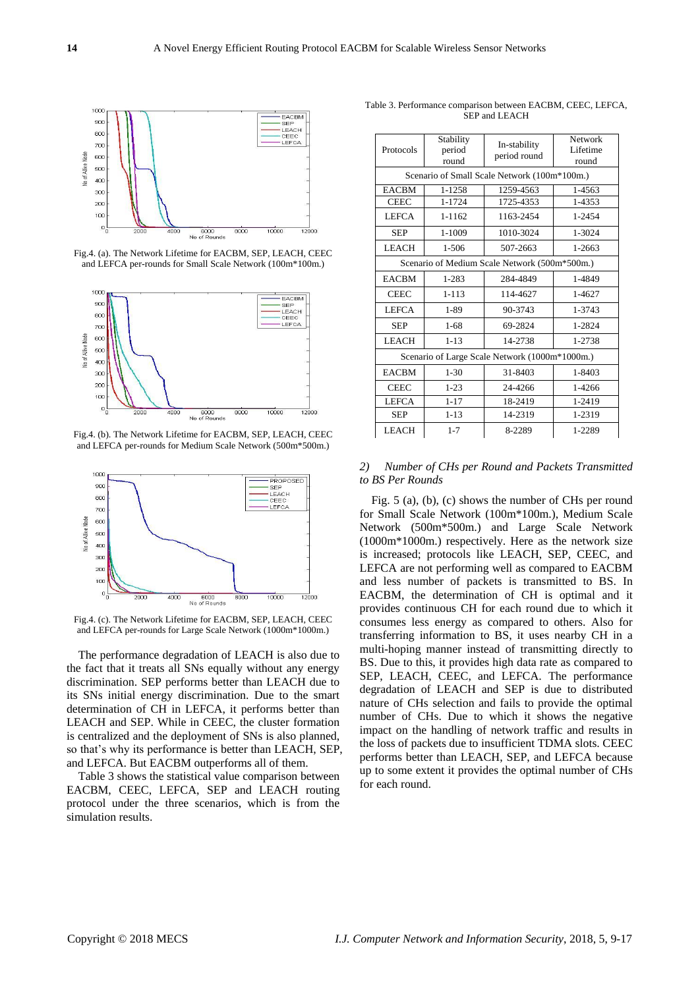

Fig.4. (a). The Network Lifetime for EACBM, SEP, LEACH, CEEC and LEFCA per-rounds for Small Scale Network (100m\*100m.)



Fig.4. (b). The Network Lifetime for EACBM, SEP, LEACH, CEEC and LEFCA per-rounds for Medium Scale Network (500m\*500m.)



Fig.4. (c). The Network Lifetime for EACBM, SEP, LEACH, CEEC and LEFCA per-rounds for Large Scale Network (1000m\*1000m.)

The performance degradation of LEACH is also due to the fact that it treats all SNs equally without any energy discrimination. SEP performs better than LEACH due to its SNs initial energy discrimination. Due to the smart determination of CH in LEFCA, it performs better than LEACH and SEP. While in CEEC, the cluster formation is centralized and the deployment of SNs is also planned, so that's why its performance is better than LEACH, SEP, and LEFCA. But EACBM outperforms all of them.

Table 3 shows the statistical value comparison between EACBM, CEEC, LEFCA, SEP and LEACH routing protocol under the three scenarios, which is from the simulation results.

| Protocols                                      | Stability<br>period<br>round | In-stability<br>period round | Network<br>Lifetime<br>round |  |  |  |  |
|------------------------------------------------|------------------------------|------------------------------|------------------------------|--|--|--|--|
| Scenario of Small Scale Network (100m*100m.)   |                              |                              |                              |  |  |  |  |
| <b>EACBM</b>                                   | 1-1258                       | 1259-4563                    | 1-4563                       |  |  |  |  |
| <b>CEEC</b>                                    | 1-1724                       | 1725-4353                    | 1-4353                       |  |  |  |  |
| <b>LEFCA</b>                                   | 1-1162                       | 1163-2454                    | 1-2454                       |  |  |  |  |
| <b>SEP</b>                                     | 1-1009                       | 1010-3024                    | 1-3024                       |  |  |  |  |
| <b>LEACH</b>                                   | $1 - 506$                    | 507-2663                     | 1-2663                       |  |  |  |  |
| Scenario of Medium Scale Network (500m*500m.)  |                              |                              |                              |  |  |  |  |
| <b>EACBM</b>                                   | 1-283                        | 284-4849                     | 1-4849                       |  |  |  |  |
| <b>CEEC</b>                                    | $1 - 113$                    | 114-4627                     | 1-4627                       |  |  |  |  |
| <b>LEFCA</b>                                   | $1 - 89$                     | 90-3743                      |                              |  |  |  |  |
| <b>SEP</b>                                     | $1 - 68$                     | 69-2824                      | 1-2824                       |  |  |  |  |
| <b>LEACH</b>                                   | $1 - 13$                     | 14-2738                      | 1-2738                       |  |  |  |  |
| Scenario of Large Scale Network (1000m*1000m.) |                              |                              |                              |  |  |  |  |
| <b>EACBM</b>                                   | $1 - 30$                     | 31-8403                      | 1-8403                       |  |  |  |  |
| <b>CEEC</b>                                    | $1 - 23$                     | 24-4266                      | 1-4266                       |  |  |  |  |
| <b>LEFCA</b>                                   | $1 - 17$                     | 18-2419                      | 1-2419                       |  |  |  |  |
| <b>SEP</b>                                     | $1 - 13$                     | 14-2319                      | 1-2319                       |  |  |  |  |
| <b>LEACH</b>                                   | $1 - 7$                      | 8-2289                       | 1-2289                       |  |  |  |  |

Table 3. Performance comparison between EACBM, CEEC, LEFCA, SEP and LEACH

# *2) Number of CHs per Round and Packets Transmitted to BS Per Rounds*

Fig. 5 (a), (b), (c) shows the number of CHs per round for Small Scale Network (100m\*100m.), Medium Scale Network (500m\*500m.) and Large Scale Network (1000m\*1000m.) respectively. Here as the network size is increased; protocols like LEACH, SEP, CEEC, and LEFCA are not performing well as compared to EACBM and less number of packets is transmitted to BS. In EACBM, the determination of CH is optimal and it provides continuous CH for each round due to which it consumes less energy as compared to others. Also for transferring information to BS, it uses nearby CH in a multi-hoping manner instead of transmitting directly to BS. Due to this, it provides high data rate as compared to SEP, LEACH, CEEC, and LEFCA. The performance degradation of LEACH and SEP is due to distributed nature of CHs selection and fails to provide the optimal number of CHs. Due to which it shows the negative impact on the handling of network traffic and results in the loss of packets due to insufficient TDMA slots. CEEC performs better than LEACH, SEP, and LEFCA because up to some extent it provides the optimal number of CHs for each round.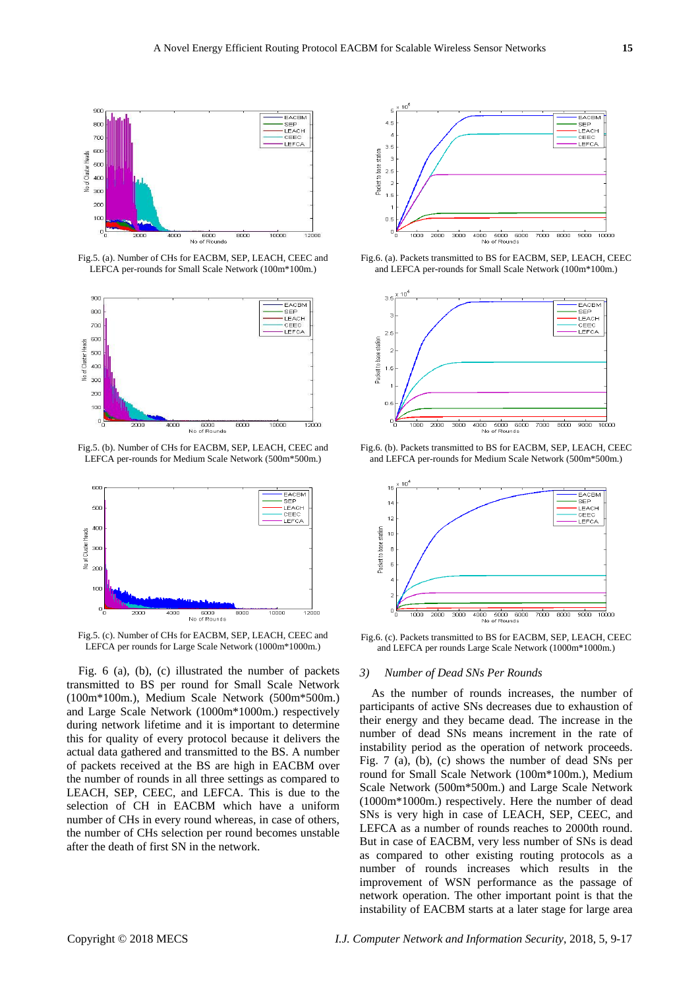

Fig.5. (a). Number of CHs for EACBM, SEP, LEACH, CEEC and LEFCA per-rounds for Small Scale Network (100m\*100m.)



Fig.5. (b). Number of CHs for EACBM, SEP, LEACH, CEEC and LEFCA per-rounds for Medium Scale Network (500m\*500m.)



Fig.5. (c). Number of CHs for EACBM, SEP, LEACH, CEEC and LEFCA per rounds for Large Scale Network (1000m\*1000m.)

Fig. 6 (a), (b), (c) illustrated the number of packets transmitted to BS per round for Small Scale Network (100m\*100m.), Medium Scale Network (500m\*500m.) and Large Scale Network (1000m\*1000m.) respectively during network lifetime and it is important to determine this for quality of every protocol because it delivers the actual data gathered and transmitted to the BS. A number of packets received at the BS are high in EACBM over the number of rounds in all three settings as compared to LEACH, SEP, CEEC, and LEFCA. This is due to the selection of CH in EACBM which have a uniform number of CHs in every round whereas, in case of others, the number of CHs selection per round becomes unstable after the death of first SN in the network.



Fig.6. (a). Packets transmitted to BS for EACBM, SEP, LEACH, CEEC and LEFCA per-rounds for Small Scale Network (100m\*100m.)



Fig.6. (b). Packets transmitted to BS for EACBM, SEP, LEACH, CEEC and LEFCA per-rounds for Medium Scale Network (500m\*500m.)



Fig.6. (c). Packets transmitted to BS for EACBM, SEP, LEACH, CEEC and LEFCA per rounds Large Scale Network (1000m\*1000m.)

# *3) Number of Dead SNs Per Rounds*

As the number of rounds increases, the number of participants of active SNs decreases due to exhaustion of their energy and they became dead. The increase in the number of dead SNs means increment in the rate of instability period as the operation of network proceeds. Fig. 7 (a), (b), (c) shows the number of dead SNs per round for Small Scale Network (100m\*100m.), Medium Scale Network (500m\*500m.) and Large Scale Network (1000m\*1000m.) respectively. Here the number of dead SNs is very high in case of LEACH, SEP, CEEC, and LEFCA as a number of rounds reaches to 2000th round. But in case of EACBM, very less number of SNs is dead as compared to other existing routing protocols as a number of rounds increases which results in the improvement of WSN performance as the passage of network operation. The other important point is that the instability of EACBM starts at a later stage for large area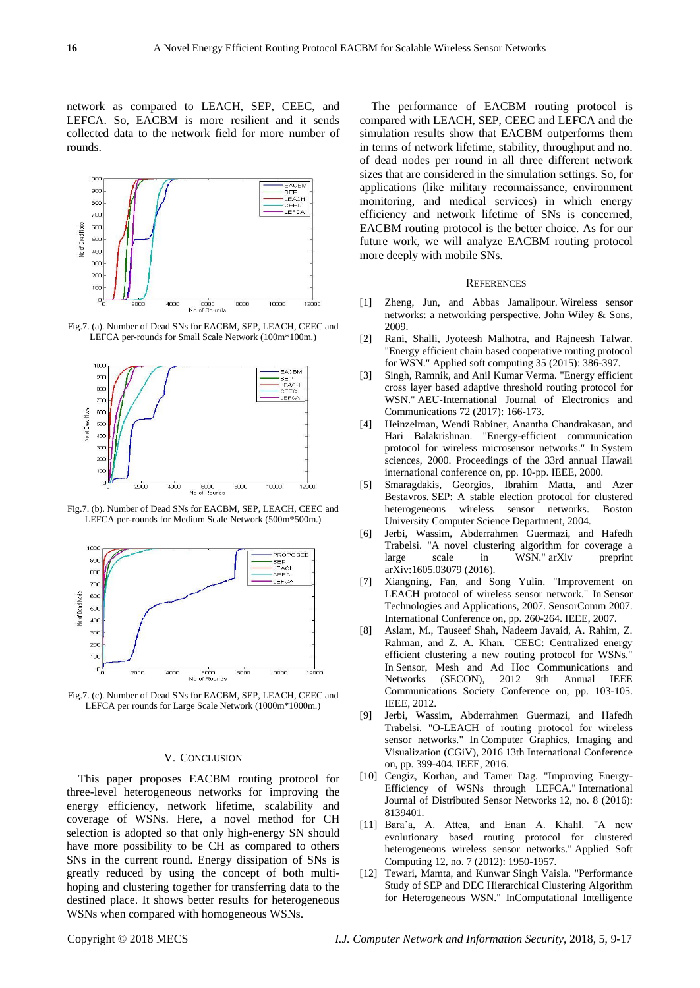network as compared to LEACH, SEP, CEEC, and LEFCA. So, EACBM is more resilient and it sends collected data to the network field for more number of rounds.



Fig.7. (a). Number of Dead SNs for EACBM, SEP, LEACH, CEEC and LEFCA per-rounds for Small Scale Network (100m\*100m.)



Fig.7. (b). Number of Dead SNs for EACBM, SEP, LEACH, CEEC and LEFCA per-rounds for Medium Scale Network (500m\*500m.)



Fig.7. (c). Number of Dead SNs for EACBM, SEP, LEACH, CEEC and LEFCA per rounds for Large Scale Network (1000m\*1000m.)

## V. CONCLUSION

This paper proposes EACBM routing protocol for three-level heterogeneous networks for improving the energy efficiency, network lifetime, scalability and coverage of WSNs. Here, a novel method for CH selection is adopted so that only high-energy SN should have more possibility to be CH as compared to others SNs in the current round. Energy dissipation of SNs is greatly reduced by using the concept of both multihoping and clustering together for transferring data to the destined place. It shows better results for heterogeneous WSNs when compared with homogeneous WSNs.

The performance of EACBM routing protocol is compared with LEACH, SEP, CEEC and LEFCA and the simulation results show that EACBM outperforms them in terms of network lifetime, stability, throughput and no. of dead nodes per round in all three different network sizes that are considered in the simulation settings. So, for applications (like military reconnaissance, environment monitoring, and medical services) in which energy efficiency and network lifetime of SNs is concerned, EACBM routing protocol is the better choice. As for our future work, we will analyze EACBM routing protocol more deeply with mobile SNs.

#### **REFERENCES**

- [1] Zheng, Jun, and Abbas Jamalipour. Wireless sensor networks: a networking perspective. John Wiley & Sons, 2009.
- [2] Rani, Shalli, Jyoteesh Malhotra, and Rajneesh Talwar. "Energy efficient chain based cooperative routing protocol for WSN." Applied soft computing 35 (2015): 386-397.
- [3] Singh, Ramnik, and Anil Kumar Verma. "Energy efficient cross layer based adaptive threshold routing protocol for WSN." AEU-International Journal of Electronics and Communications 72 (2017): 166-173.
- [4] Heinzelman, Wendi Rabiner, Anantha Chandrakasan, and Hari Balakrishnan. "Energy-efficient communication protocol for wireless microsensor networks." In System sciences, 2000. Proceedings of the 33rd annual Hawaii international conference on, pp. 10-pp. IEEE, 2000.
- [5] Smaragdakis, Georgios, Ibrahim Matta, and Azer Bestavros. SEP: A stable election protocol for clustered heterogeneous wireless sensor networks. Boston University Computer Science Department, 2004.
- [6] Jerbi, Wassim, Abderrahmen Guermazi, and Hafedh Trabelsi. "A novel clustering algorithm for coverage a large scale in WSN." arXiv preprint arXiv:1605.03079 (2016).
- [7] Xiangning, Fan, and Song Yulin. "Improvement on LEACH protocol of wireless sensor network." In Sensor Technologies and Applications, 2007. SensorComm 2007. International Conference on, pp. 260-264. IEEE, 2007.
- [8] Aslam, M., Tauseef Shah, Nadeem Javaid, A. Rahim, Z. Rahman, and Z. A. Khan. "CEEC: Centralized energy efficient clustering a new routing protocol for WSNs. In Sensor, Mesh and Ad Hoc Communications and Networks (SECON), 2012 9th Annual IEEE Communications Society Conference on, pp. 103-105. IEEE, 2012.
- [9] Jerbi, Wassim, Abderrahmen Guermazi, and Hafedh Trabelsi. "O-LEACH of routing protocol for wireless sensor networks." In Computer Graphics, Imaging and Visualization (CGiV), 2016 13th International Conference on, pp. 399-404. IEEE, 2016.
- [10] Cengiz, Korhan, and Tamer Dag. "Improving Energy-Efficiency of WSNs through LEFCA." International Journal of Distributed Sensor Networks 12, no. 8 (2016): 8139401.
- [11] Bara'a, A. Attea, and Enan A. Khalil. "A new evolutionary based routing protocol for clustered heterogeneous wireless sensor networks." Applied Soft Computing 12, no. 7 (2012): 1950-1957.
- [12] Tewari, Mamta, and Kunwar Singh Vaisla. "Performance Study of SEP and DEC Hierarchical Clustering Algorithm for Heterogeneous WSN." InComputational Intelligence